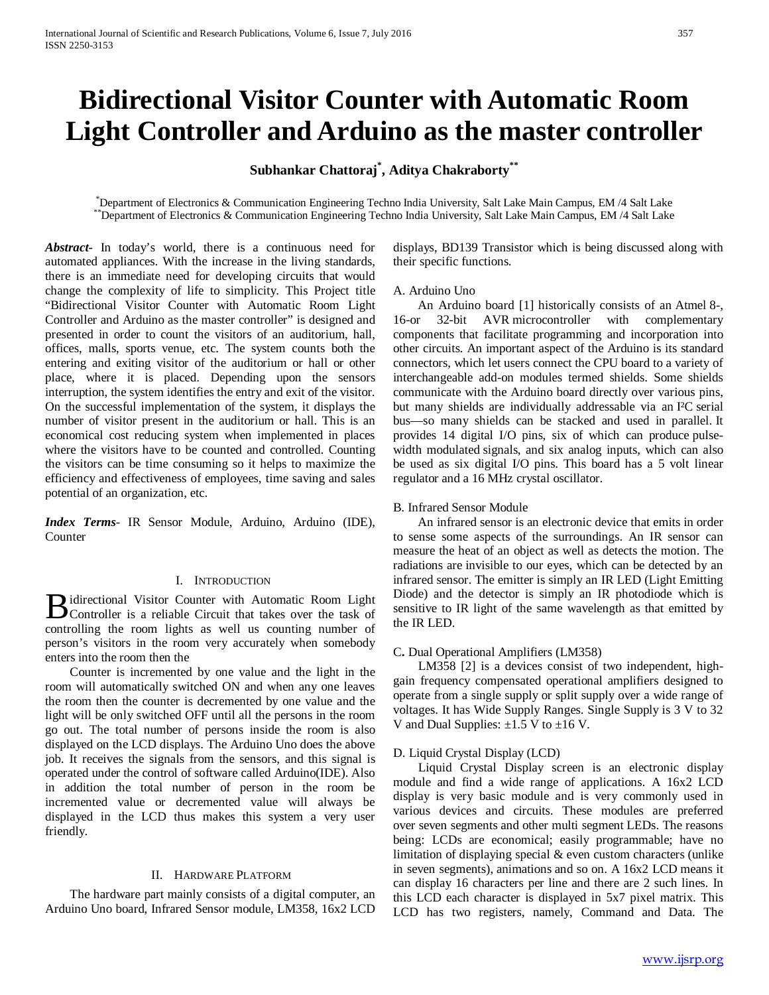# **Bidirectional Visitor Counter with Automatic Room Light Controller and Arduino as the master controller**

**Subhankar Chattoraj\* , Aditya Chakraborty\*\***

\*Department of Electronics & Communication Engineering Techno India University, Salt Lake Main Campus, EM /4 Salt Lake \*\*Department of Electronics & Communication Engineering Techno India University, Salt Lake Main Campus, EM /4 Salt Lake

*Abstract***-** In today's world, there is a continuous need for automated appliances. With the increase in the living standards, there is an immediate need for developing circuits that would change the complexity of life to simplicity. This Project title "Bidirectional Visitor Counter with Automatic Room Light Controller and Arduino as the master controller" is designed and presented in order to count the visitors of an auditorium, hall, offices, malls, sports venue, etc. The system counts both the entering and exiting visitor of the auditorium or hall or other place, where it is placed. Depending upon the sensors interruption, the system identifies the entry and exit of the visitor. On the successful implementation of the system, it displays the number of visitor present in the auditorium or hall. This is an economical cost reducing system when implemented in places where the visitors have to be counted and controlled. Counting the visitors can be time consuming so it helps to maximize the efficiency and effectiveness of employees, time saving and sales potential of an organization, etc.

*Index Terms*- IR Sensor Module, Arduino, Arduino (IDE), Counter

#### I. INTRODUCTION

directional Visitor Counter with Automatic Room Light **B** idirectional Visitor Counter with Automatic Room Light<br>Controller is a reliable Circuit that takes over the task of controlling the room lights as well us counting number of person's visitors in the room very accurately when somebody enters into the room then the

 Counter is incremented by one value and the light in the room will automatically switched ON and when any one leaves the room then the counter is decremented by one value and the light will be only switched OFF until all the persons in the room go out. The total number of persons inside the room is also displayed on the LCD displays. The Arduino Uno does the above job. It receives the signals from the sensors, and this signal is operated under the control of software called Arduino(IDE). Also in addition the total number of person in the room be incremented value or decremented value will always be displayed in the LCD thus makes this system a very user friendly.

#### II. HARDWARE PLATFORM

 The hardware part mainly consists of a digital computer, an Arduino Uno board, Infrared Sensor module, LM358, 16x2 LCD displays, BD139 Transistor which is being discussed along with their specific functions.

#### A. Arduino Uno

 An Arduino board [1] historically consists of an Atmel 8-, 16-or 32-bit AVR microcontroller with complementary components that facilitate programming and incorporation into other circuits. An important aspect of the Arduino is its standard connectors, which let users connect the CPU board to a variety of interchangeable add-on modules termed shields. Some shields communicate with the Arduino board directly over various pins, but many shields are individually addressable via an I²C serial bus—so many shields can be stacked and used in parallel. It provides 14 digital I/O pins, six of which can produce pulsewidth modulated signals, and six analog inputs, which can also be used as six digital I/O pins. This board has a 5 volt linear regulator and a 16 MHz crystal oscillator.

#### B. Infrared Sensor Module

 An infrared sensor is an electronic device that emits in order to sense some aspects of the surroundings. An IR sensor can measure the heat of an object as well as detects the motion. The radiations are invisible to our eyes, which can be detected by an infrared sensor. The emitter is simply an IR LED (Light Emitting Diode) and the detector is simply an IR photodiode which is sensitive to IR light of the same wavelength as that emitted by the IR LED.

# C**.** Dual Operational Amplifiers (LM358)

 LM358 [2] is a devices consist of two independent, highgain frequency compensated operational amplifiers designed to operate from a single supply or split supply over a wide range of voltages. It has Wide Supply Ranges. Single Supply is 3 V to 32 V and Dual Supplies:  $\pm 1.5$  V to  $\pm 16$  V.

# D. Liquid Crystal Display (LCD)

 Liquid Crystal Display screen is an electronic display module and find a wide range of applications. A 16x2 LCD display is very basic module and is very commonly used in various devices and circuits. These modules are preferred over seven segments and other multi segment LEDs. The reasons being: LCDs are economical; easily programmable; have no limitation of displaying special & even custom characters (unlike in seven segments), animations and so on. A 16x2 LCD means it can display 16 characters per line and there are 2 such lines. In this LCD each character is displayed in 5x7 pixel matrix. This LCD has two registers, namely, Command and Data. The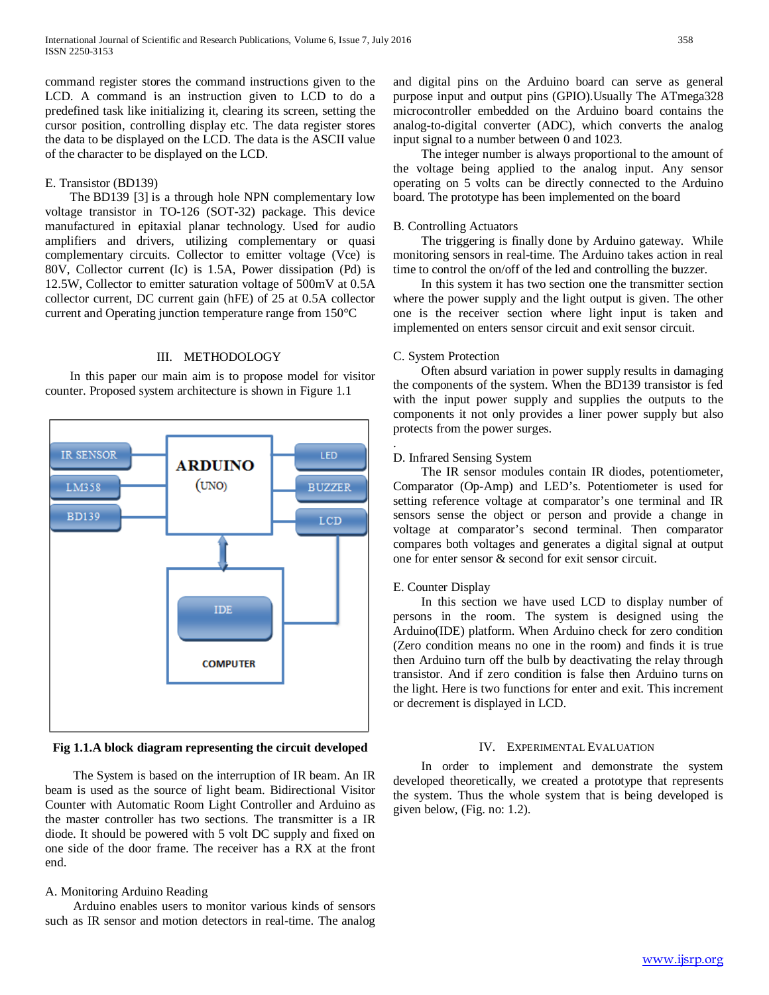command register stores the command instructions given to the LCD. A command is an instruction given to LCD to do a predefined task like initializing it, clearing its screen, setting the cursor position, controlling display etc. The data register stores the data to be displayed on the LCD. The data is the ASCII value of the character to be displayed on the LCD.

#### E. Transistor (BD139)

 The BD139 [3] is a through hole NPN complementary low voltage transistor in TO-126 (SOT-32) package. This device manufactured in epitaxial planar technology. Used for audio amplifiers and drivers, utilizing complementary or quasi complementary circuits. Collector to emitter voltage (Vce) is 80V, Collector current (Ic) is 1.5A, Power dissipation (Pd) is 12.5W, Collector to emitter saturation voltage of 500mV at 0.5A collector current, DC current gain (hFE) of 25 at 0.5A collector current and Operating junction temperature range from 150°C

#### III. METHODOLOGY

 In this paper our main aim is to propose model for visitor counter. Proposed system architecture is shown in Figure 1.1



**Fig 1.1.A block diagram representing the circuit developed**

 The System is based on the interruption of IR beam. An IR beam is used as the source of light beam. Bidirectional Visitor Counter with Automatic Room Light Controller and Arduino as the master controller has two sections. The transmitter is a IR diode. It should be powered with 5 volt DC supply and fixed on one side of the door frame. The receiver has a RX at the front end.

# A. Monitoring Arduino Reading

 Arduino enables users to monitor various kinds of sensors such as IR sensor and motion detectors in real-time. The analog and digital pins on the Arduino board can serve as general purpose input and output pins (GPIO).Usually The ATmega328 microcontroller embedded on the Arduino board contains the analog-to-digital converter (ADC), which converts the analog input signal to a number between 0 and 1023.

 The integer number is always proportional to the amount of the voltage being applied to the analog input. Any sensor operating on 5 volts can be directly connected to the Arduino board. The prototype has been implemented on the board

#### B. Controlling Actuators

 The triggering is finally done by Arduino gateway. While monitoring sensors in real-time. The Arduino takes action in real time to control the on/off of the led and controlling the buzzer.

 In this system it has two section one the transmitter section where the power supply and the light output is given. The other one is the receiver section where light input is taken and implemented on enters sensor circuit and exit sensor circuit.

# C. System Protection

.

 Often absurd variation in power supply results in damaging the components of the system. When the BD139 transistor is fed with the input power supply and supplies the outputs to the components it not only provides a liner power supply but also protects from the power surges.

# D. Infrared Sensing System

 The IR sensor modules contain IR diodes, potentiometer, Comparator (Op-Amp) and LED's. Potentiometer is used for setting reference voltage at comparator's one terminal and IR sensors sense the object or person and provide a change in voltage at comparator's second terminal. Then comparator compares both voltages and generates a digital signal at output one for enter sensor & second for exit sensor circuit.

# E. Counter Display

 In this section we have used LCD to display number of persons in the room. The system is designed using the Arduino(IDE) platform. When Arduino check for zero condition (Zero condition means no one in the room) and finds it is true then Arduino turn off the bulb by deactivating the relay through transistor. And if zero condition is false then Arduino turns on the light. Here is two functions for enter and exit. This increment or decrement is displayed in LCD.

# IV. EXPERIMENTAL EVALUATION

 In order to implement and demonstrate the system developed theoretically, we created a prototype that represents the system. Thus the whole system that is being developed is given below, (Fig. no: 1.2).